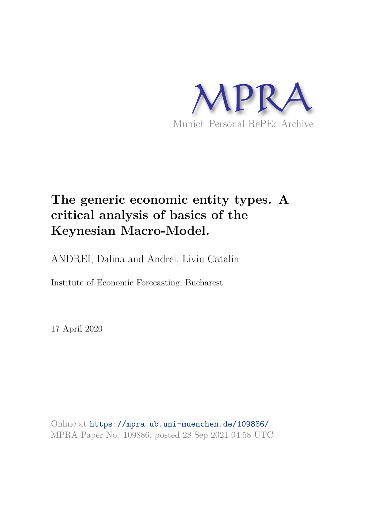

# **The generic economic entity types. A critical analysis of basics of the Keynesian Macro-Model.**

ANDREI, Dalina and Andrei, Liviu Catalin

Institute of Economic Forecasting, Bucharest

17 April 2020

Online at https://mpra.ub.uni-muenchen.de/109886/ MPRA Paper No. 109886, posted 28 Sep 2021 04:58 UTC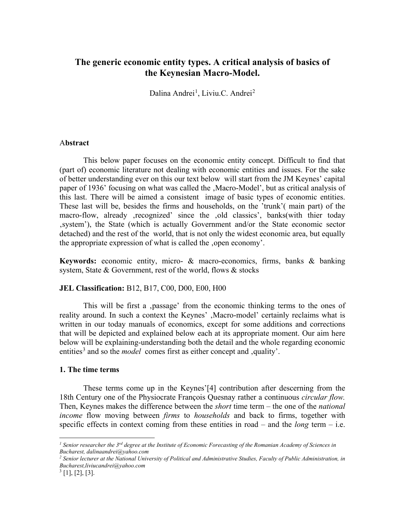# **The generic economic entity types. A critical analysis of basics of the Keynesian Macro-Model.**

Dalina Andrei<sup>[1](#page-1-0)</sup>, Liviu.C. Andrei<sup>[2](#page-1-1)</sup>

### A**bstract**

This below paper focuses on the economic entity concept. Difficult to find that (part of) economic literature not dealing with economic entities and issues. For the sake of better understanding ever on this our text below will start from the JM Keynes' capital paper of 1936' focusing on what was called the , Macro-Model', but as critical analysis of this last. There will be aimed a consistent image of basic types of economic entities. These last will be, besides the firms and households, on the 'trunk'( main part) of the macro-flow, already , recognized' since the old classics', banks (with thier today system'), the State (which is actually Government and/or the State economic sector detached) and the rest of the world, that is not only the widest economic area, but equally the appropriate expression of what is called the , open economy'.

**Keywords:** economic entity, micro- & macro-economics, firms, banks & banking system, State & Government, rest of the world, flows & stocks

## **JEL Classification:** B12, B17, C00, D00, E00, H00

This will be first a ,passage' from the economic thinking terms to the ones of reality around. In such a context the Keynes', Macro-model' certainly reclaims what is written in our today manuals of economics, except for some additions and corrections that will be depicted and explained below each at its appropriate moment. Our aim here below will be explaining-understanding both the detail and the whole regarding economic entities<sup>[3](#page-1-2)</sup> and so the *model* comes first as either concept and , quality'.

#### **1. The time terms**

These terms come up in the Keynes'[4] contribution after descerning from the 18th Century one of the Physiocrate François Quesnay rather a continuous *circular flow.*  Then, Keynes makes the difference between the *short* time term – the one of the *national income* flow moving between *firms* to *households* and back to firms, together with specific effects in context coming from these entities in road – and the *long* term – i.e.

 $\overline{a}$ 

<span id="page-1-0"></span>*<sup>1</sup> Senior researcher the 3rd degree at the Institute of Economic Forecasting of the Romanian Academy of Sciences in Bucharest, dalinaandrei@yahoo.com*

<span id="page-1-1"></span>*<sup>2</sup> Senior lecturer at the National University of Political and Administrative Studies, Faculty of Public Administration, in Bucharest,liviucandrei@yahoo.com* 

<span id="page-1-2"></span> $3$  [1], [2], [3].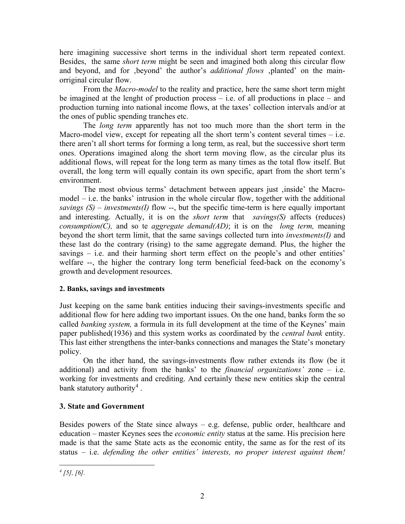here imagining successive short terms in the individual short term repeated context. Besides, the same *short term* might be seen and imagined both along this circular flow and beyond, and for ,beyond' the author's *additional flows* ,planted' on the mainorriginal circular flow.

From the *Macro-model* to the reality and practice, here the same short term might be imagined at the lenght of production process  $-$  i.e. of all productions in place  $-$  and production turning into national income flows, at the taxes' collection intervals and/or at the ones of public spending tranches etc.

The *long term* apparently has not too much more than the short term in the Macro-model view, except for repeating all the short term's content several times  $-$  i.e. there aren't all short terms for forming a long term, as real, but the successive short term ones. Operations imagined along the short term moving flow, as the circular plus its additional flows, will repeat for the long term as many times as the total flow itself. But overall, the long term will equally contain its own specific, apart from the short term's environment.

The most obvious terms' detachment between appears just , inside' the Macromodel – i.e. the banks' intrusion in the whole circular flow, together with the additional *savings (S) – investments(I)* flow --, but the specific time-term is here equally important and interesting. Actually, it is on the *short term* that *savings(S)* affects (reduces) *consumption(C),* and so te *aggregate demand(AD)*; it is on the *long term,* meaning beyond the short term limit, that the same savings collected turn into *investments(I)* and these last do the contrary (rising) to the same aggregate demand. Plus, the higher the savings – i.e. and their harming short term effect on the people's and other entities' welfare --, the higher the contrary long term beneficial feed-back on the economy's growth and development resources.

## **2. Banks, savings and investments**

Just keeping on the same bank entities inducing their savings-investments specific and additional flow for here adding two important issues. On the one hand, banks form the so called *banking system,* a formula in its full development at the time of the Keynes' main paper published(1936) and this system works as coordinated by the *central bank* entity. This last either strengthens the inter-banks connections and manages the State's monetary policy.

On the ither hand, the savings-investments flow rather extends its flow (be it additional) and activity from the banks' to the *financial organizations'* zone – i.e. working for investments and crediting. And certainly these new entities skip the central bank statutory authority<sup>[4](#page-2-0)</sup>.

## **3. State and Government**

<span id="page-2-0"></span>Besides powers of the State since always – e.g. defense, public order, healthcare and education – master Keynes sees the *economic entity* status at the same. His precision here made is that the same State acts as the economic entity, the same as for the rest of its status – i.e. *defending the other entities' interests, no proper interest against them!*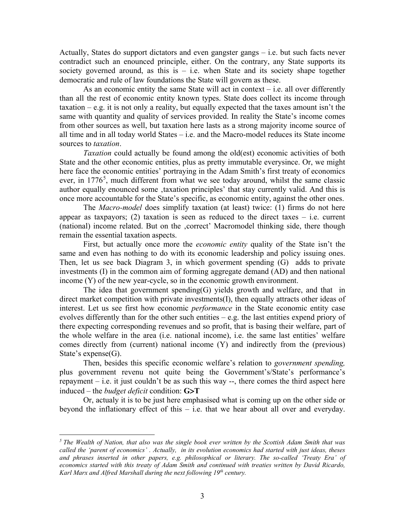Actually, States do support dictators and even gangster gangs – i.e. but such facts never contradict such an enounced principle, either. On the contrary, any State supports its society governed around, as this is  $-$  i.e. when State and its society shape together democratic and rule of law foundations the State will govern as these.

As an economic entity the same State will act in context – i.e. all over differently than all the rest of economic entity known types. State does collect its income through taxation – e.g. it is not only a reality, but equally expected that the taxes amount isn't the same with quantity and quality of services provided. In reality the State's income comes from other sources as well, but taxation here lasts as a strong majority income source of all time and in all today world States – i.e. and the Macro-model reduces its State income sources to *taxation*.

*Taxation* could actually be found among the old(est) economic activities of both State and the other economic entities, plus as pretty immutable everysince. Or, we might here face the economic entities' portraying in the Adam Smith's first treaty of economics ever, in 1776<sup>[5](#page-3-0)</sup>, much different from what we see today around, whilst the same classic author equally enounced some , taxation principles' that stay currently valid. And this is once more accountable for the State's specific, as economic entity, against the other ones.

The *Macro-model* does simplify taxation (at least) twice: (1) firms do not here appear as taxpayors; (2) taxation is seen as reduced to the direct taxes  $-$  i.e. current (national) income related. But on the ,correct' Macromodel thinking side, there though remain the essential taxation aspects.

First, but actually once more the *economic entity* quality of the State isn't the same and even has nothing to do with its economic leadership and policy issuing ones. Then, let us see back Diagram 3, in which goverment spending (G) adds to private investments (I) in the common aim of forming aggregate demand (AD) and then national income (Y) of the new year-cycle, so in the economic growth environment.

The idea that government spending $(G)$  yields growth and welfare, and that in direct market competition with private investments(I), then equally attracts other ideas of interest. Let us see first how economic *performance* in the State economic entity case evolves differently than for the other such entities – e.g. the last entities expend priory of there expecting corresponding revenues and so profit, that is basing their welfare, part of the whole welfare in the area (i.e. national income), i.e. the same last entities' welfare comes directly from (current) national income (Y) and indirectly from the (previous) State's expense(G).

Then, besides this specific economic welfare's relation to *government spending,* plus government revenu not quite being the Government's/State's performance's repayment – i.e. it just couldn't be as such this way --, there comes the third aspect here induced – the *budget deficit* condition: **G**>**T**

Or, actualy it is to be just here emphasised what is coming up on the other side or beyond the inflationary effect of this – i.e. that we hear about all over and everyday.

 $\overline{a}$ 

<span id="page-3-0"></span>*<sup>5</sup> The Wealth of Nation, that also was the single book ever written by the Scottish Adam Smith that was called the 'parent of economics' . Actually, in its evolution economics had started with just ideas, theses and phrases inserted in other papers, e.g. philosophical or literary. The so-called 'Treaty Era' of*  economics started with this treaty of Adam Smith and continued with treaties written by David Ricardo, *Karl Marx and Alfred Marshall during the next following 19th century.*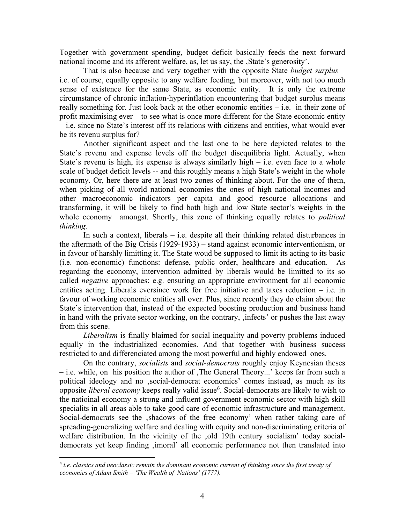Together with government spending, budget deficit basically feeds the next forward national income and its afferent welfare, as, let us say, the , State's generosity'.

That is also because and very together with the opposite State *budget surplus* – i.e. of course, equally opposite to any welfare feeding, but moreover, with not too much sense of existence for the same State, as economic entity. It is only the extreme circumstance of chronic inflation-hyperinflation encountering that budget surplus means really something for. Just look back at the other economic entities – i.e. in their zone of profit maximising ever – to see what is once more different for the State economic entity – i.e. since no State's interest off its relations with citizens and entities, what would ever be its revenu surplus for?

Another significant aspect and the last one to be here depicted relates to the State's revenu and expense levels off the budget disequilibria light. Actually, when State's revenu is high, its expense is always similarly high  $-$  i.e. even face to a whole scale of budget deficit levels -- and this roughly means a high State's weight in the whole economy. Or, here there are at least two zones of thinking about. For the one of them, when picking of all world national economies the ones of high national incomes and other macroeconomic indicators per capita and good resource allocations and transforming, it will be likely to find both high and low State sector's weights in the whole economy amongst. Shortly, this zone of thinking equally relates to *political thinking*.

In such a context, liberals – i.e. despite all their thinking related disturbances in the aftermath of the Big Crisis (1929-1933) – stand against economic interventionism, or in favour of harshly limitting it. The State woud be supposed to limit its acting to its basic (i.e. non-economic) functions: defense, public order, healthcare and education. As regarding the economy, intervention admitted by liberals would be limitted to its so called *negative* approaches: e.g. ensuring an appropriate environment for all economic entities acting. Liberals eversince work for free initiative and taxes reduction – i.e. in favour of working economic entities all over. Plus, since recently they do claim about the State's intervention that, instead of the expected boosting production and business hand in hand with the private sector working, on the contrary, 'infects' or pushes the last away from this scene.

*Liberalism* is finally blaimed for social inequality and poverty problems induced equally in the industrialized economies. And that together with business success restricted to and differenciated among the most powerful and highly endowed ones.

On the contrary, *socialists* and *social-democrats* roughly enjoy Keynesian theses – i.e. while, on his position the author of 'The General Theory...' keeps far from such a political ideology and no 'social-democrat economics' comes instead, as much as its opposite *liberal economy* keeps really valid issue<sup>[6](#page-4-0)</sup>. Social-democrats are likely to wish to the natioinal economy a strong and influent government economic sector with high skill specialits in all areas able to take good care of economic infrastructure and management. Social-democrats see the , shadows of the free economy' when rather taking care of spreading-generalizing welfare and dealing with equity and non-discriminating criteria of welfare distribution. In the vicinity of the ,old 19th century socialism' today socialdemocrats yet keep finding , imoral' all economic performance not then translated into

-

<span id="page-4-0"></span>*<sup>6</sup> i.e. classics and neoclassic remain the dominant economic current of thinking since the first treaty of economics of Adam Smith – 'The Wealth of Nations' (1777).*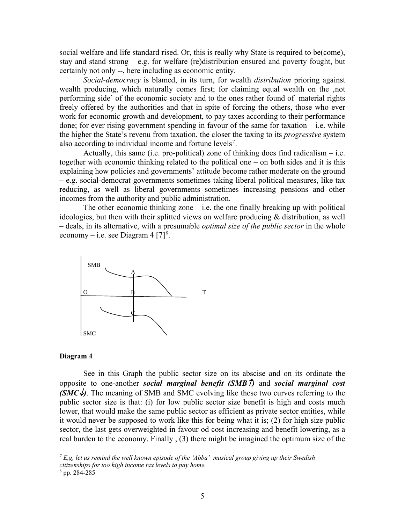social welfare and life standard rised. Or, this is really why State is required to be(come), stay and stand strong – e.g. for welfare (re)distribution ensured and poverty fought, but certainly not only --, here including as economic entity.

*Social-democracy* is blamed, in its turn, for wealth *distribution* prioring against wealth producing, which naturally comes first; for claiming equal wealth on the 'not performing side' of the economic society and to the ones rather found of material rights freely offered by the authorities and that in spite of forcing the others, those who ever work for economic growth and development, to pay taxes according to their performance done; for ever rising government spending in favour of the same for taxation  $-$  i.e. while the higher the State's revenu from taxation, the closer the taxing to its *progressive* system also according to individual income and fortune levels<sup>[7](#page-5-0)</sup>.

Actually, this same (i.e. pro-political) zone of thinking does find radicalism  $-$  i.e. together with economic thinking related to the political one – on both sides and it is this explaining how policies and governments' attitude become rather moderate on the ground – e.g. social-democrat governments sometimes taking liberal political measures, like tax reducing, as well as liberal governments sometimes increasing pensions and other incomes from the authority and public administration.

The other economic thinking zone  $-$  i.e. the one finally breaking up with political ideologies, but then with their splitted views on welfare producing & distribution, as well – deals, in its alternative, with a presumable *optimal size of the public sector* in the whole economy – i.e. see Diagram 4  $[7]^8$  $[7]^8$ .



#### **Diagram 4**

See in this Graph the public sector size on its abscise and on its ordinate the opposite to one-another *social marginal benefit (SMB*↑*)* and *social marginal cost*   $(SMC\mathcal{L})$ . The meaning of SMB and SMC evolving like these two curves referring to the public sector size is that: (i) for low public sector size benefit is high and costs much lower, that would make the same public sector as efficient as private sector entities, while it would never be supposed to work like this for being what it is; (2) for high size public sector, the last gets overweighted in favour od cost increasing and benefit lowering, as a real burden to the economy. Finally , (3) there might be imagined the optimum size of the

<u>.</u>

<span id="page-5-0"></span>*<sup>7</sup> E,g, let us remind the well known episode of the 'Abba' musical group giving up their Swedish citizenships for too high income tax levels to pay home.* 

<span id="page-5-1"></span><sup>8</sup> pp. 284-285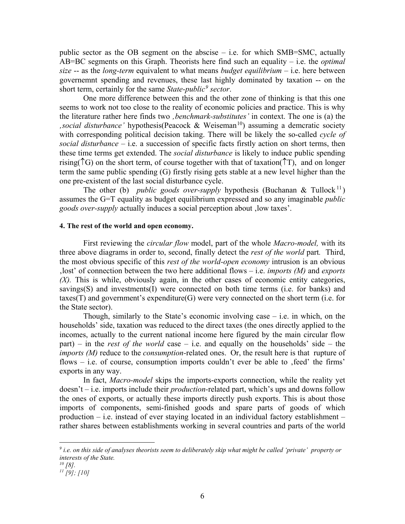public sector as the OB segment on the abscise  $-$  i.e. for which SMB=SMC, actually AB=BC segments on this Graph. Theorists here find such an equality – i.e. the *optimal size* -- as the *long-term* equivalent to what means *budget equilibrium* – i.e. here between governemnt spending and revenues, these last highly dominated by taxation -- on the short term, certainly for the same *State-public[9](#page-6-0) sector*.

One more difference between this and the other zone of thinking is that this one seems to work not too close to the reality of economic policies and practice. This is why the literature rather here finds two *'benchmark-substitutes'* in context. The one is (a) the *social disturbance'* hypothesis(Peacock & Weiseman<sup>[10](#page-6-1)</sup>) assuming a demcratic society with corresponding political decision taking. There will be likely the so-called *cycle of social disturbance –* i.e. a succession of specific facts firstly action on short terms, then these time terms get extended. The *social disturbance* is likely to induce public spending rising( $\uparrow$ G) on the short term, of course together with that of taxation( $\uparrow$ T), and on longer term the same public spending (G) firstly rising gets stable at a new level higher than the one pre-existent of the last social disturbance cycle.

The other (b) *public goods over-supply* hypothesis (Buchanan & Tullock<sup>[11](#page-6-2)</sup>) assumes the G=T equality as budget equilibrium expressed and so any imaginable *public goods over-supply* actually induces a social perception about , low taxes'.

### **4. The rest of the world and open economy.**

First reviewing the *circular flow* model, part of the whole *Macro-model,* with its three above diagrams in order to, second, finally detect the *rest of the world* part*.* Third, the most obvious specific of this *rest of the world-open economy* intrusion is an obvious 'lost' of connection between the two here additional flows – i.e. *imports (M)* and *exports (X).* This is while, obviously again, in the other cases of economic entity categories, savings(S) and investments(I) were connected on both time terms (i.e. for banks) and  $taxes(T)$  and government's expenditure $(G)$  were very connected on the short term (i.e. for the State sector).

Though, similarly to the State's economic involving case  $-$  i.e. in which, on the households' side, taxation was reduced to the direct taxes (the ones directly applied to the incomes, actually to the current national income here figured by the main circular flow part) – in the *rest of the world* case – i.e. and equally on the households' side – the *imports (M)* reduce to the *consumption-*related ones. Or, the result here is that rupture of flows  $-$  i.e. of course, consumption imports couldn't ever be able to , feed' the firms' exports in any way.

In fact, *Macro-model* skips the imports-exports connection, while the reality yet doesn't – i.e. imports include their *production-*related part, which's ups and downs follow the ones of exports, or actually these imports directly push exports. This is about those imports of components, semi-finished goods and spare parts of goods of which production – i.e. instead of ever staying located in an individual factory establishment – rather shares between establishments working in several countries and parts of the world

 $\overline{a}$ 

<span id="page-6-0"></span>*<sup>9</sup> i.e. on this side of analyses theorists seem to deliberately skip what might be called 'private' property or interests of the State.* 

<span id="page-6-1"></span>*<sup>10</sup> [8].* 

<span id="page-6-2"></span>*<sup>11</sup> [9]; [10]*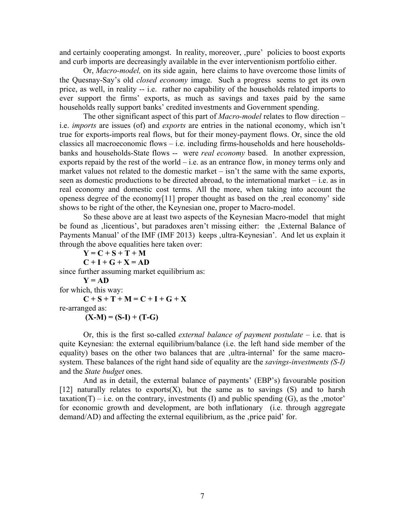and certainly cooperating amongst. In reality, moreover, ,pure' policies to boost exports and curb imports are decreasingly available in the ever interventionism portfolio either.

Or, *Macro-model,* on its side again, here claims to have overcome those limits of the Quesnay-Say's old *closed economy* image. Such a progress seems to get its own price, as well, in reality -- i.e. rather no capability of the households related imports to ever support the firms' exports, as much as savings and taxes paid by the same households really support banks' credited investments and Government spending.

The other significant aspect of this part of *Macro-model* relates to flow direction – i.e. *imports* are issues (of) and *exports* are entries in the national economy, which isn't true for exports-imports real flows, but for their money-payment flows. Or, since the old classics all macroeconomic flows – i.e. including firms-households and here householdsbanks and households-State flows -- were *real economy* based. In another expression, exports repaid by the rest of the world  $-$  i.e. as an entrance flow, in money terms only and market values not related to the domestic market – isn't the same with the same exports, seen as domestic productions to be directed abroad, to the international market – i.e. as in real economy and domestic cost terms. All the more, when taking into account the openess degree of the economy[11] proper thought as based on the , real economy' side shows to be right of the other, the Keynesian one, proper to Macro-model.

So these above are at least two aspects of the Keynesian Macro-model that might be found as , licentious', but paradoxes aren't missing either: the , External Balance of Payments Manual' of the IMF (IMF 2013) keeps ,ultra-Keynesian'. And let us explain it through the above equalities here taken over:

 $Y = C + S + T + M$  $C + I + G + X = AD$ since further assuming market equilibrium as:  $Y = AD$ for which, this way:  $C + S + T + M = C + I + G + X$ re-arranged as:  $(X-M) = (S-I) + (T-G)$ 

Or, this is the first so-called *external balance of payment postulate –* i.e. that is quite Keynesian: the external equilibrium/balance (i.e. the left hand side member of the equality) bases on the other two balances that are ,ultra-internal' for the same macrosystem. These balances of the right hand side of equality are the *savings-investments (S-I)*  and the *State budget* ones.

And as in detail, the external balance of payments' (EBP's) favourable position [12] naturally relates to exports $(X)$ , but the same as to savings  $(S)$  and to harsh taxation(T) – i.e. on the contrary, investments (I) and public spending (G), as the ,motor' for economic growth and development, are both inflationary (i.e. through aggregate demand/AD) and affecting the external equilibrium, as the ,price paid' for.